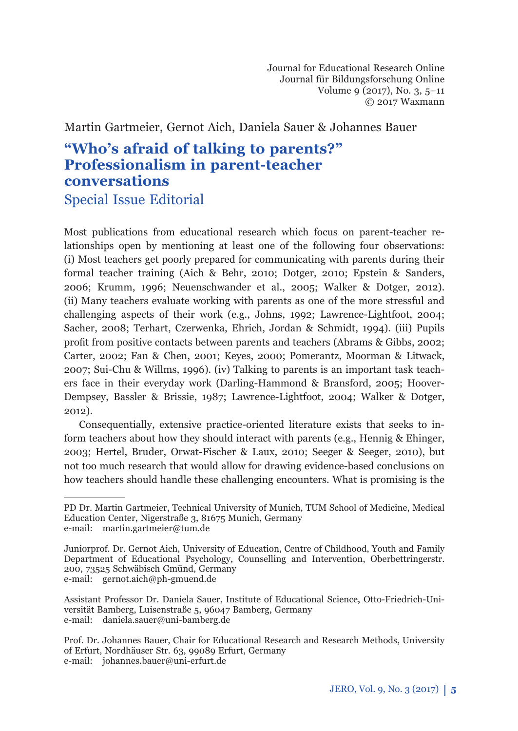Journal for Educational Research Online Journal für Bildungsforschung Online Volume 9 (2017), No. 3, 5–11 © 2017 Waxmann

Martin Gartmeier, Gernot Aich, Daniela Sauer & Johannes Bauer

# **"Who's afraid of talking to parents?" Professionalism in parent-teacher conversations** Special Issue Editorial

Most publications from educational research which focus on parent-teacher relationships open by mentioning at least one of the following four observations: (i) Most teachers get poorly prepared for communicating with parents during their formal teacher training (Aich & Behr, 2010; Dotger, 2010; Epstein & Sanders, 2006; Krumm, 1996; Neuenschwander et al., 2005; Walker & Dotger, 2012). (ii) Many teachers evaluate working with parents as one of the more stressful and challenging aspects of their work (e.g., Johns, 1992; Lawrence-Lightfoot, 2004; Sacher, 2008; Terhart, Czerwenka, Ehrich, Jordan & Schmidt, 1994). (iii) Pupils profit from positive contacts between parents and teachers (Abrams & Gibbs, 2002; Carter, 2002; Fan & Chen, 2001; Keyes, 2000; Pomerantz, Moorman & Litwack, 2007; Sui-Chu & Willms, 1996). (iv) Talking to parents is an important task teachers face in their everyday work (Darling-Hammond & Bransford, 2005; Hoover-Dempsey, Bassler & Brissie, 1987; Lawrence-Lightfoot, 2004; Walker & Dotger, 2012).

Consequentially, extensive practice-oriented literature exists that seeks to inform teachers about how they should interact with parents (e.g., Hennig & Ehinger, 2003; Hertel, Bruder, Orwat-Fischer & Laux, 2010; Seeger & Seeger, 2010), but not too much research that would allow for drawing evidence-based conclusions on how teachers should handle these challenging encounters. What is promising is the

PD Dr. Martin Gartmeier, Technical University of Munich, TUM School of Medicine, Medical Education Center, Nigerstraße 3, 81675 Munich, Germany e-mail: martin.gartmeier@tum.de

Juniorprof. Dr. Gernot Aich, University of Education, Centre of Childhood, Youth and Family Department of Educational Psychology, Counselling and Intervention, Oberbettringerstr. 200, 73525 Schwäbisch Gmünd, Germany e-mail: gernot.aich@ph-gmuend.de

Assistant Professor Dr. Daniela Sauer, Institute of Educational Science, Otto-Friedrich-Universität Bamberg, Luisenstraße 5, 96047 Bamberg, Germany e-mail: daniela.sauer@uni-bamberg.de

Prof. Dr. Johannes Bauer, Chair for Educational Research and Research Methods, University of Erfurt, Nordhäuser Str. 63, 99089 Erfurt, Germany e-mail: johannes.bauer@uni-erfurt.de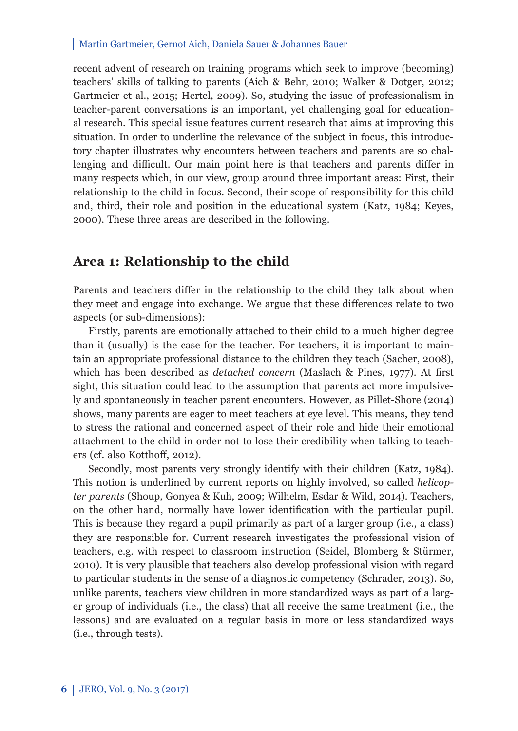#### Martin Gartmeier, Gernot Aich, Daniela Sauer & Johannes Bauer

recent advent of research on training programs which seek to improve (becoming) teachers' skills of talking to parents (Aich & Behr, 2010; Walker & Dotger, 2012; Gartmeier et al., 2015; Hertel, 2009). So, studying the issue of professionalism in teacher-parent conversations is an important, yet challenging goal for educational research. This special issue features current research that aims at improving this situation. In order to underline the relevance of the subject in focus, this introductory chapter illustrates why encounters between teachers and parents are so challenging and difficult. Our main point here is that teachers and parents differ in many respects which, in our view, group around three important areas: First, their relationship to the child in focus. Second, their scope of responsibility for this child and, third, their role and position in the educational system (Katz, 1984; Keyes, 2000). These three areas are described in the following.

### **Area 1: Relationship to the child**

Parents and teachers differ in the relationship to the child they talk about when they meet and engage into exchange. We argue that these differences relate to two aspects (or sub-dimensions):

Firstly, parents are emotionally attached to their child to a much higher degree than it (usually) is the case for the teacher. For teachers, it is important to maintain an appropriate professional distance to the children they teach (Sacher, 2008), which has been described as *detached concern* (Maslach & Pines, 1977). At first sight, this situation could lead to the assumption that parents act more impulsively and spontaneously in teacher parent encounters. However, as Pillet-Shore (2014) shows, many parents are eager to meet teachers at eye level. This means, they tend to stress the rational and concerned aspect of their role and hide their emotional attachment to the child in order not to lose their credibility when talking to teachers (cf. also Kotthoff, 2012).

Secondly, most parents very strongly identify with their children (Katz, 1984). This notion is underlined by current reports on highly involved, so called *helicopter parents* (Shoup, Gonyea & Kuh, 2009; Wilhelm, Esdar & Wild, 2014). Teachers, on the other hand, normally have lower identification with the particular pupil. This is because they regard a pupil primarily as part of a larger group (i.e., a class) they are responsible for. Current research investigates the professional vision of teachers, e.g. with respect to classroom instruction (Seidel, Blomberg & Stürmer, 2010). It is very plausible that teachers also develop professional vision with regard to particular students in the sense of a diagnostic competency (Schrader, 2013). So, unlike parents, teachers view children in more standardized ways as part of a larger group of individuals (i.e., the class) that all receive the same treatment (i.e., the lessons) and are evaluated on a regular basis in more or less standardized ways (i.e., through tests).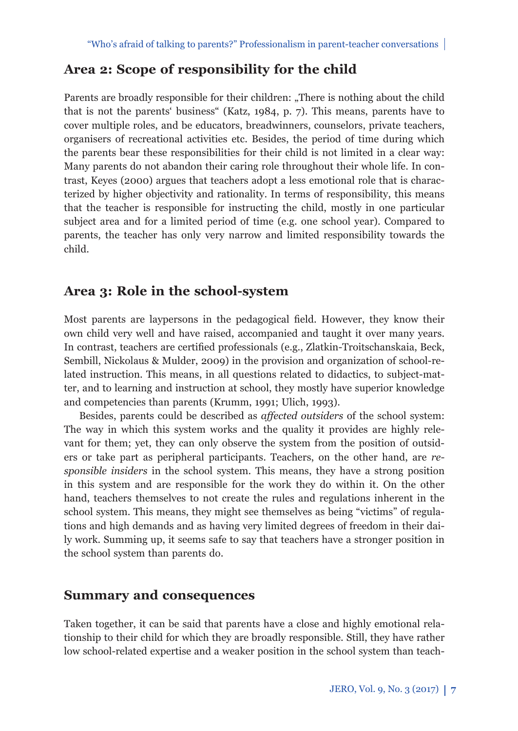# **Area 2: Scope of responsibility for the child**

Parents are broadly responsible for their children: "There is nothing about the child that is not the parents' business" (Katz, 1984, p. 7). This means, parents have to cover multiple roles, and be educators, breadwinners, counselors, private teachers, organisers of recreational activities etc. Besides, the period of time during which the parents bear these responsibilities for their child is not limited in a clear way: Many parents do not abandon their caring role throughout their whole life. In contrast, Keyes (2000) argues that teachers adopt a less emotional role that is characterized by higher objectivity and rationality. In terms of responsibility, this means that the teacher is responsible for instructing the child, mostly in one particular subject area and for a limited period of time (e.g. one school year). Compared to parents, the teacher has only very narrow and limited responsibility towards the child.

## **Area 3: Role in the school-system**

Most parents are laypersons in the pedagogical field. However, they know their own child very well and have raised, accompanied and taught it over many years. In contrast, teachers are certified professionals (e.g., Zlatkin-Troitschanskaia, Beck, Sembill, Nickolaus & Mulder, 2009) in the provision and organization of school-related instruction. This means, in all questions related to didactics, to subject-matter, and to learning and instruction at school, they mostly have superior knowledge and competencies than parents (Krumm, 1991; Ulich, 1993).

Besides, parents could be described as *affected outsiders* of the school system: The way in which this system works and the quality it provides are highly relevant for them; yet, they can only observe the system from the position of outsiders or take part as peripheral participants. Teachers, on the other hand, are *responsible insiders* in the school system. This means, they have a strong position in this system and are responsible for the work they do within it. On the other hand, teachers themselves to not create the rules and regulations inherent in the school system. This means, they might see themselves as being "victims" of regulations and high demands and as having very limited degrees of freedom in their daily work. Summing up, it seems safe to say that teachers have a stronger position in the school system than parents do.

### **Summary and consequences**

Taken together, it can be said that parents have a close and highly emotional relationship to their child for which they are broadly responsible. Still, they have rather low school-related expertise and a weaker position in the school system than teach-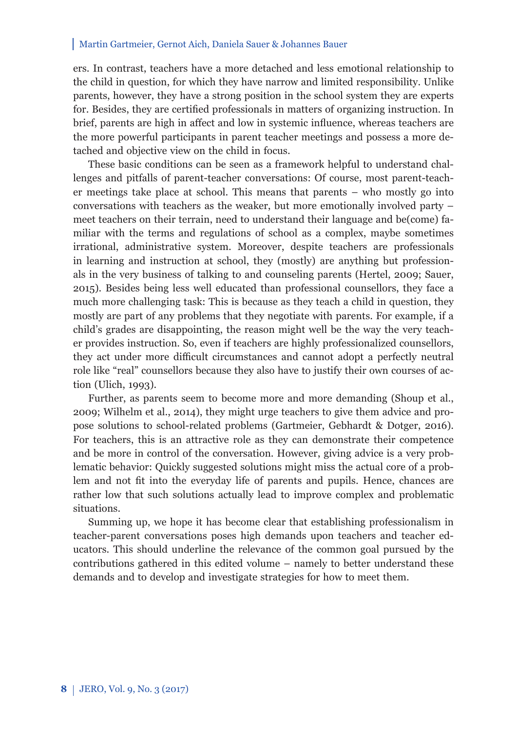#### Martin Gartmeier, Gernot Aich, Daniela Sauer & Johannes Bauer

ers. In contrast, teachers have a more detached and less emotional relationship to the child in question, for which they have narrow and limited responsibility. Unlike parents, however, they have a strong position in the school system they are experts for. Besides, they are certified professionals in matters of organizing instruction. In brief, parents are high in affect and low in systemic influence, whereas teachers are the more powerful participants in parent teacher meetings and possess a more detached and objective view on the child in focus.

These basic conditions can be seen as a framework helpful to understand challenges and pitfalls of parent-teacher conversations: Of course, most parent-teacher meetings take place at school. This means that parents – who mostly go into conversations with teachers as the weaker, but more emotionally involved party – meet teachers on their terrain, need to understand their language and be(come) familiar with the terms and regulations of school as a complex, maybe sometimes irrational, administrative system. Moreover, despite teachers are professionals in learning and instruction at school, they (mostly) are anything but professionals in the very business of talking to and counseling parents (Hertel, 2009; Sauer, 2015). Besides being less well educated than professional counsellors, they face a much more challenging task: This is because as they teach a child in question, they mostly are part of any problems that they negotiate with parents. For example, if a child's grades are disappointing, the reason might well be the way the very teacher provides instruction. So, even if teachers are highly professionalized counsellors, they act under more difficult circumstances and cannot adopt a perfectly neutral role like "real" counsellors because they also have to justify their own courses of action (Ulich, 1993).

Further, as parents seem to become more and more demanding (Shoup et al., 2009; Wilhelm et al., 2014), they might urge teachers to give them advice and propose solutions to school-related problems (Gartmeier, Gebhardt & Dotger, 2016). For teachers, this is an attractive role as they can demonstrate their competence and be more in control of the conversation. However, giving advice is a very problematic behavior: Quickly suggested solutions might miss the actual core of a problem and not fit into the everyday life of parents and pupils. Hence, chances are rather low that such solutions actually lead to improve complex and problematic situations.

Summing up, we hope it has become clear that establishing professionalism in teacher-parent conversations poses high demands upon teachers and teacher educators. This should underline the relevance of the common goal pursued by the contributions gathered in this edited volume – namely to better understand these demands and to develop and investigate strategies for how to meet them.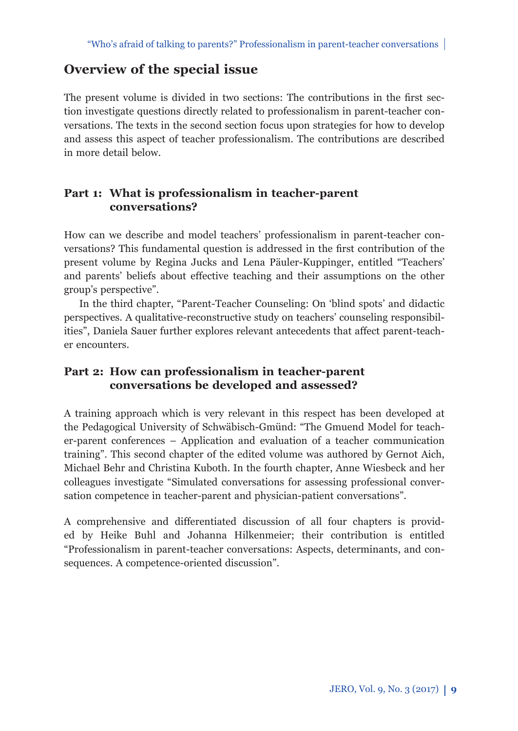# **Overview of the special issue**

The present volume is divided in two sections: The contributions in the first section investigate questions directly related to professionalism in parent-teacher conversations. The texts in the second section focus upon strategies for how to develop and assess this aspect of teacher professionalism. The contributions are described in more detail below.

### **Part 1: What is professionalism in teacher-parent conversations?**

How can we describe and model teachers' professionalism in parent-teacher conversations? This fundamental question is addressed in the first contribution of the present volume by Regina Jucks and Lena Päuler-Kuppinger, entitled "Teachers' and parents' beliefs about effective teaching and their assumptions on the other group's perspective".

In the third chapter, "Parent-Teacher Counseling: On 'blind spots' and didactic perspectives. A qualitative-reconstructive study on teachers' counseling responsibilities", Daniela Sauer further explores relevant antecedents that affect parent-teacher encounters.

### **Part 2: How can professionalism in teacher-parent conversations be developed and assessed?**

A training approach which is very relevant in this respect has been developed at the Pedagogical University of Schwäbisch-Gmünd: "The Gmuend Model for teacher-parent conferences – Application and evaluation of a teacher communication training". This second chapter of the edited volume was authored by Gernot Aich, Michael Behr and Christina Kuboth. In the fourth chapter, Anne Wiesbeck and her colleagues investigate "Simulated conversations for assessing professional conversation competence in teacher-parent and physician-patient conversations".

A comprehensive and differentiated discussion of all four chapters is provided by Heike Buhl and Johanna Hilkenmeier; their contribution is entitled "Professionalism in parent-teacher conversations: Aspects, determinants, and consequences. A competence-oriented discussion".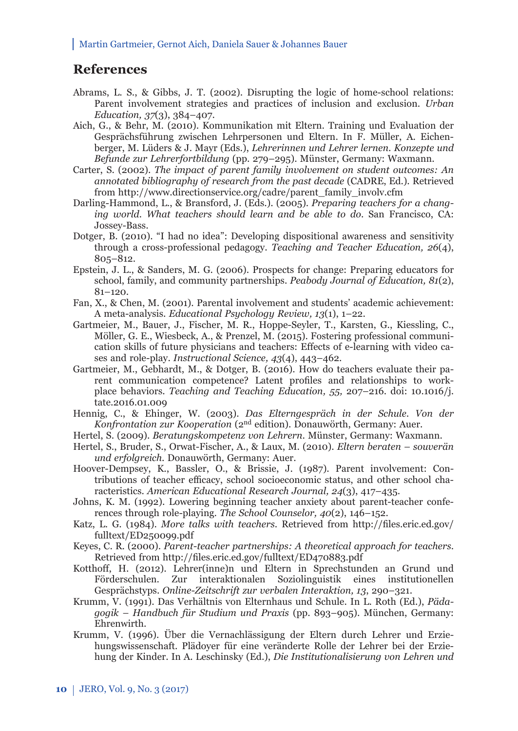## **References**

- Abrams, L. S., & Gibbs, J. T. (2002). Disrupting the logic of home-school relations: Parent involvement strategies and practices of inclusion and exclusion. *Urban Education, 37*(3), 384–407.
- Aich, G., & Behr, M. (2010). Kommunikation mit Eltern. Training und Evaluation der Gesprächsführung zwischen Lehrpersonen und Eltern. In F. Müller, A. Eichenberger, M. Lüders & J. Mayr (Eds.), *Lehrerinnen und Lehrer lernen. Konzepte und Befunde zur Lehrerfortbildung* (pp. 279–295). Münster, Germany: Waxmann.
- Carter, S. (2002). *The impact of parent family involvement on student outcomes: An annotated bibliography of research from the past decade* (CADRE, Ed.). Retrieved from http://www.directionservice.org/cadre/parent\_family\_involv.cfm
- Darling-Hammond, L., & Bransford, J. (Eds.). (2005). *Preparing teachers for a changing world. What teachers should learn and be able to do*. San Francisco, CA: Jossey-Bass.
- Dotger, B. (2010). "I had no idea": Developing dispositional awareness and sensitivity through a cross-professional pedagogy. *Teaching and Teacher Education, 26*(4), 805–812.
- Epstein, J. L., & Sanders, M. G. (2006). Prospects for change: Preparing educators for school, family, and community partnerships. *Peabody Journal of Education, 81*(2),  $81 - 120$ .
- Fan, X., & Chen, M. (2001). Parental involvement and students' academic achievement: A meta-analysis. *Educational Psychology Review, 13*(1), 1–22.
- Gartmeier, M., Bauer, J., Fischer, M. R., Hoppe-Seyler, T., Karsten, G., Kiessling, C., Möller, G. E., Wiesbeck, A., & Prenzel, M. (2015). Fostering professional communication skills of future physicians and teachers: Effects of e-learning with video cases and role-play. *Instructional Science, 43*(4), 443–462.
- Gartmeier, M., Gebhardt, M., & Dotger, B. (2016). How do teachers evaluate their parent communication competence? Latent profiles and relationships to workplace behaviors. *Teaching and Teaching Education, 55,* 207–216. doi: 10.1016/j. tate.2016.01.009
- Hennig, C., & Ehinger, W. (2003). *Das Elterngespräch in der Schule. Von der Konfrontation zur Kooperation* (2nd edition). Donauwörth, Germany: Auer.
- Hertel, S. (2009). *Beratungskompetenz von Lehrern*. Münster, Germany: Waxmann.
- Hertel, S., Bruder, S., Orwat-Fischer, A., & Laux, M. (2010). *Eltern beraten souverän und erfolgreich*. Donauwörth, Germany: Auer.
- Hoover-Dempsey, K., Bassler, O., & Brissie, J. (1987). Parent involvement: Contributions of teacher efficacy, school socioeconomic status, and other school characteristics. *American Educational Research Journal, 24*(3), 417–435.
- Johns, K. M. (1992). Lowering beginning teacher anxiety about parent-teacher conferences through role-playing. *The School Counselor, 40*(2), 146–152.
- Katz, L. G. (1984). *More talks with teachers*. Retrieved from http://files.eric.ed.gov/ fulltext/ED250099.pdf
- Keyes, C. R. (2000). *Parent-teacher partnerships: A theoretical approach for teachers*. Retrieved from http://files.eric.ed.gov/fulltext/ED470883.pdf
- Kotthoff, H. (2012). Lehrer(inne)n und Eltern in Sprechstunden an Grund und Förderschulen. Zur interaktionalen Soziolinguistik eines institutionellen Gesprächstyps. *Online-Zeitschrift zur verbalen Interaktion, 13*, 290–321.
- Krumm, V. (1991). Das Verhältnis von Elternhaus und Schule. In L. Roth (Ed.), *Pädagogik – Handbuch für Studium und Praxis* (pp. 893–905). München, Germany: Ehrenwirth.
- Krumm, V. (1996). Über die Vernachlässigung der Eltern durch Lehrer und Erziehungswissenschaft. Plädoyer für eine veränderte Rolle der Lehrer bei der Erziehung der Kinder. In A. Leschinsky (Ed.), *Die Institutionalisierung von Lehren und*